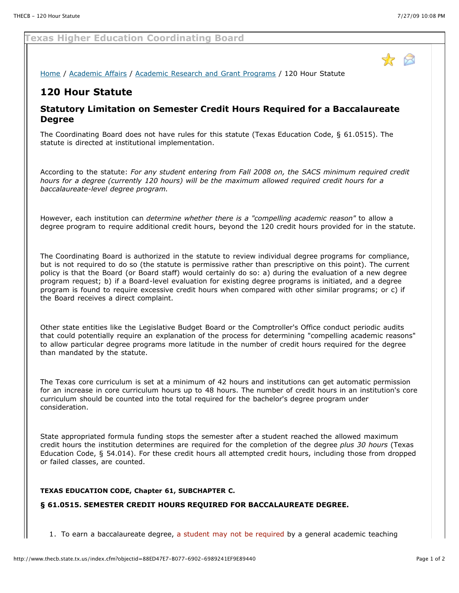## **Texas Higher Education Coordinating Board**

[Home](http://www.thecb.state.tx.us/index.cfm?objectid=5DF100DD-DD89-DD16-6DB8EF395C22B78F) / [Academic Affairs](http://www.thecb.state.tx.us/index.cfm?objectid=8596342D-E870-581F-4BE196E782362778) / [Academic Research and Grant Programs](http://www.thecb.state.tx.us/index.cfm?objectid=107E7019-BCA2-A4E8-637F20EE7A7C0ADA) / 120 Hour Statute

# **120 Hour Statute**

## **Statutory Limitation on Semester Credit Hours Required for a Baccalaureate Degree**

The Coordinating Board does not have rules for this statute (Texas Education Code, § 61.0515). The statute is directed at institutional implementation.

According to the statute: *For any student entering from Fall 2008 on, the SACS minimum required credit hours for a degree (currently 120 hours) will be the maximum allowed required credit hours for a baccalaureate-level degree program.*

However, each institution can *determine whether there is a "compelling academic reason"* to allow a degree program to require additional credit hours, beyond the 120 credit hours provided for in the statute.

The Coordinating Board is authorized in the statute to review individual degree programs for compliance, but is not required to do so (the statute is permissive rather than prescriptive on this point). The current policy is that the Board (or Board staff) would certainly do so: a) during the evaluation of a new degree program request; b) if a Board-level evaluation for existing degree programs is initiated, and a degree program is found to require excessive credit hours when compared with other similar programs; or c) if the Board receives a direct complaint.

Other state entities like the Legislative Budget Board or the Comptroller's Office conduct periodic audits that could potentially require an explanation of the process for determining "compelling academic reasons" to allow particular degree programs more latitude in the number of credit hours required for the degree than mandated by the statute.

The Texas core curriculum is set at a minimum of 42 hours and institutions can get automatic permission for an increase in core curriculum hours up to 48 hours. The number of credit hours in an institution's core curriculum should be counted into the total required for the bachelor's degree program under consideration.

State appropriated formula funding stops the semester after a student reached the allowed maximum credit hours the institution determines are required for the completion of the degree *plus 30 hours* (Texas Education Code, § 54.014). For these credit hours all attempted credit hours, including those from dropped or failed classes, are counted.

#### **TEXAS EDUCATION CODE, Chapter 61, SUBCHAPTER C.**

#### **§ 61.0515. SEMESTER CREDIT HOURS REQUIRED FOR BACCALAUREATE DEGREE.**

1. To earn a baccalaureate degree, a student may not be required by a general academic teaching